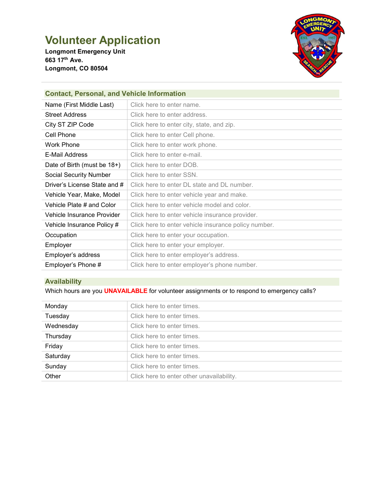# **Volunteer Application**

**Longmont Emergency Unit 663 17th Ave. Longmont, CO 80504**



# **Contact, Personal, and Vehicle Information**

| Name (First Middle Last)      | Click here to enter name.                            |
|-------------------------------|------------------------------------------------------|
| <b>Street Address</b>         | Click here to enter address.                         |
| City ST ZIP Code              | Click here to enter city, state, and zip.            |
| Cell Phone                    | Click here to enter Cell phone.                      |
| <b>Work Phone</b>             | Click here to enter work phone.                      |
| E-Mail Address                | Click here to enter e-mail.                          |
| Date of Birth (must be 18+)   | Click here to enter DOB.                             |
| <b>Social Security Number</b> | Click here to enter SSN.                             |
| Driver's License State and #  | Click here to enter DL state and DL number.          |
| Vehicle Year, Make, Model     | Click here to enter vehicle year and make.           |
| Vehicle Plate # and Color     | Click here to enter vehicle model and color.         |
| Vehicle Insurance Provider    | Click here to enter vehicle insurance provider.      |
| Vehicle Insurance Policy #    | Click here to enter vehicle insurance policy number. |
| Occupation                    | Click here to enter your occupation.                 |
| Employer                      | Click here to enter your employer.                   |
| Employer's address            | Click here to enter employer's address.              |
| Employer's Phone #            | Click here to enter employer's phone number.         |

# **Availability**

Which hours are you **UNAVAILABLE** for volunteer assignments or to respond to emergency calls?

| Monday    | Click here to enter times.                |
|-----------|-------------------------------------------|
| Tuesday   | Click here to enter times.                |
| Wednesday | Click here to enter times.                |
| Thursday  | Click here to enter times.                |
| Friday    | Click here to enter times.                |
| Saturday  | Click here to enter times.                |
| Sunday    | Click here to enter times.                |
| Other     | Click here to enter other unavailability. |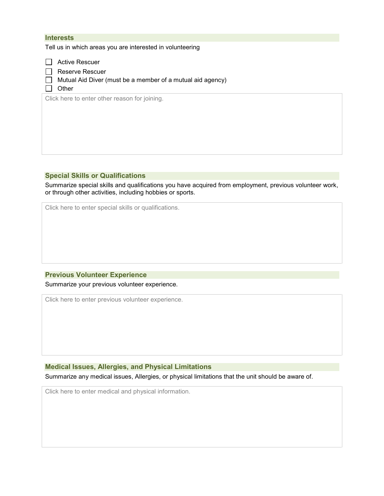## **Interests**

Tell us in which areas you are interested in volunteering

Active Rescuer

Reserve Rescuer

 $\Box$  Mutual Aid Diver (must be a member of a mutual aid agency)

 $\Box$  Other

Click here to enter other reason for joining.

## **Special Skills or Qualifications**

Summarize special skills and qualifications you have acquired from employment, previous volunteer work, or through other activities, including hobbies or sports.

Click here to enter special skills or qualifications.

#### **Previous Volunteer Experience**

Summarize your previous volunteer experience.

Click here to enter previous volunteer experience.

## **Medical Issues, Allergies, and Physical Limitations**

Summarize any medical issues, Allergies, or physical limitations that the unit should be aware of.

Click here to enter medical and physical information.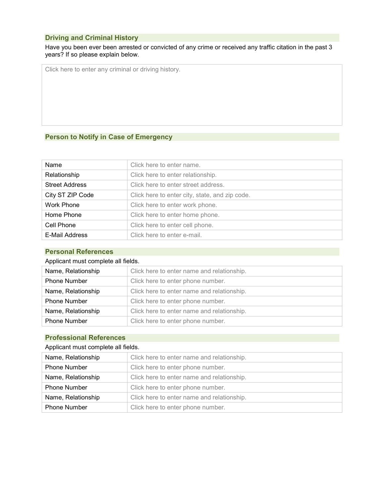## **Driving and Criminal History**

Have you been ever been arrested or convicted of any crime or received any traffic citation in the past 3 years? If so please explain below.

Click here to enter any criminal or driving history.

# **Person to Notify in Case of Emergency**

| Name                  | Click here to enter name.                      |
|-----------------------|------------------------------------------------|
| Relationship          | Click here to enter relationship.              |
| <b>Street Address</b> | Click here to enter street address.            |
| City ST ZIP Code      | Click here to enter city, state, and zip code. |
| Work Phone            | Click here to enter work phone.                |
| Home Phone            | Click here to enter home phone.                |
| Cell Phone            | Click here to enter cell phone.                |
| E-Mail Address        | Click here to enter e-mail.                    |

## **Personal References**

## Applicant must complete all fields.

| Name, Relationship  | Click here to enter name and relationship. |
|---------------------|--------------------------------------------|
| <b>Phone Number</b> | Click here to enter phone number.          |
| Name, Relationship  | Click here to enter name and relationship. |
| <b>Phone Number</b> | Click here to enter phone number.          |
| Name, Relationship  | Click here to enter name and relationship. |
| <b>Phone Number</b> | Click here to enter phone number.          |

# **Professional References**

## Applicant must complete all fields.

| Name, Relationship  | Click here to enter name and relationship. |
|---------------------|--------------------------------------------|
| <b>Phone Number</b> | Click here to enter phone number.          |
| Name, Relationship  | Click here to enter name and relationship. |
| <b>Phone Number</b> | Click here to enter phone number.          |
| Name, Relationship  | Click here to enter name and relationship. |
| <b>Phone Number</b> | Click here to enter phone number.          |